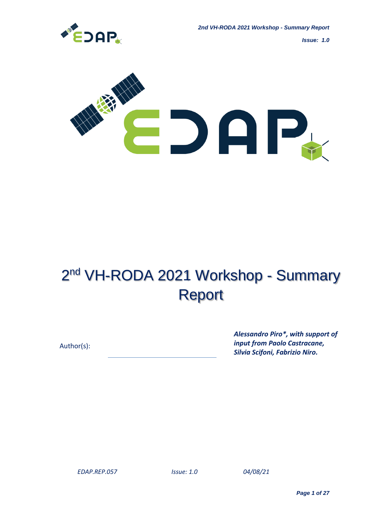

*Issue: 1.0*



# 2<sup>nd</sup> VH-RODA 2021 Workshop - Summary Report

Author(s):

*Alessandro Piro\*, with support of input from Paolo Castracane, Silvia Scifoni, Fabrizio Niro.*

 *04/08/21*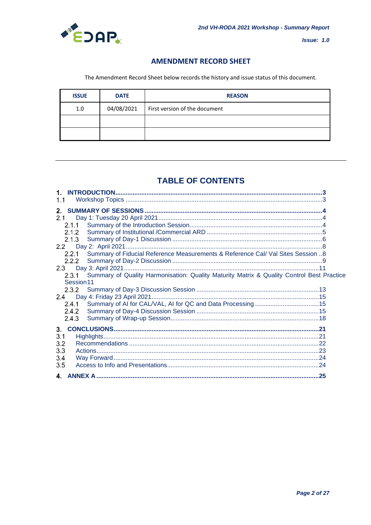

 $Issue: 1.0$ 

# **AMENDMENT RECORD SHEET**

The Amendment Record Sheet below records the history and issue status of this document.

| <b>ISSUE</b> | <b>DATE</b> | <b>REASON</b>                 |  |
|--------------|-------------|-------------------------------|--|
| 1.0          | 04/08/2021  | First version of the document |  |
|              |             |                               |  |
|              |             |                               |  |

# **TABLE OF CONTENTS**

| 1.1                                                                                             |  |
|-------------------------------------------------------------------------------------------------|--|
| $2-$                                                                                            |  |
|                                                                                                 |  |
|                                                                                                 |  |
|                                                                                                 |  |
| 2.1.3                                                                                           |  |
| 2.2                                                                                             |  |
| Summary of Fiducial Reference Measurements & Reference Cal/ Val Sites Session 8<br>2.2.1        |  |
|                                                                                                 |  |
|                                                                                                 |  |
| 2.3.1 Summary of Quality Harmonisation: Quality Maturity Matrix & Quality Control Best Practice |  |
| Session <sub>11</sub>                                                                           |  |
|                                                                                                 |  |
|                                                                                                 |  |
|                                                                                                 |  |
|                                                                                                 |  |
| 2.4.3                                                                                           |  |
| 3.                                                                                              |  |
| 3.1                                                                                             |  |
| 3.2                                                                                             |  |
| 3.3                                                                                             |  |
| 3.4                                                                                             |  |
|                                                                                                 |  |
| 3.5                                                                                             |  |
|                                                                                                 |  |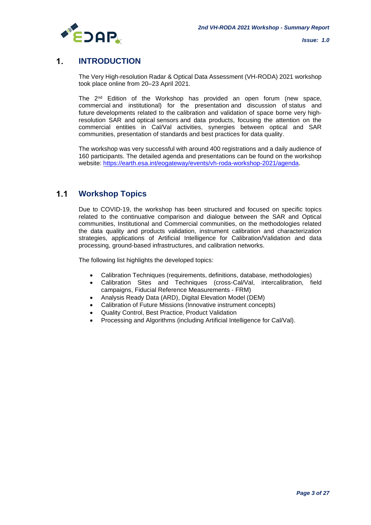

#### $\mathbf{1}$ **INTRODUCTION**

The Very High-resolution Radar & Optical Data Assessment (VH-RODA) 2021 workshop took place online from 20–23 April 2021.

The 2<sup>nd</sup> Edition of the Workshop has provided an open forum (new space, commercial and institutional) for the presentation and discussion of status and future developments related to the calibration and validation of space borne very highresolution SAR and optical sensors and data products, focusing the attention on the commercial entities in Cal/Val activities, synergies between optical and SAR communities, presentation of standards and best practices for data quality.

The workshop was very successful with around 400 registrations and a daily audience of 160 participants. The detailed agenda and presentations can be found on the workshop website: [https://earth.esa.int/eogateway/events/vh-roda-workshop-2021/agenda.](https://earth.esa.int/eogateway/events/vh-roda-workshop-2021/agenda)

#### $1.1$ **Workshop Topics**

Due to COVID-19, the workshop has been structured and focused on specific topics related to the continuative comparison and dialogue between the SAR and Optical communities, Institutional and Commercial communities, on the methodologies related the data quality and products validation, instrument calibration and characterization strategies, applications of Artificial Intelligence for Calibration/Validation and data processing, ground-based infrastructures, and calibration networks.

The following list highlights the developed topics:

- Calibration Techniques (requirements, definitions, database, methodologies)
- Calibration Sites and Techniques (cross-Cal/Val, intercalibration, field campaigns, Fiducial Reference Measurements - FRM)
- Analysis Ready Data (ARD), Digital Elevation Model (DEM)
- Calibration of Future Missions (Innovative instrument concepts)
- Quality Control, Best Practice, Product Validation
- Processing and Algorithms (including Artificial Intelligence for Cal/Val).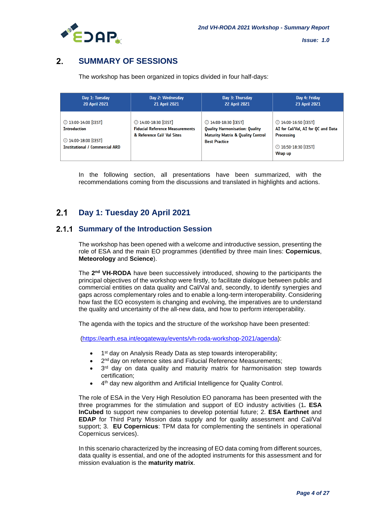

#### $2<sub>1</sub>$ **SUMMARY OF SESSIONS**

The workshop has been organized in topics divided in four half-days:

| Day 1: Tuesday                                                                                                                       | Day 2: Wednesday                                                                             | Day 3: Thursday                                                                                                                       | Day 4: Friday        |
|--------------------------------------------------------------------------------------------------------------------------------------|----------------------------------------------------------------------------------------------|---------------------------------------------------------------------------------------------------------------------------------------|----------------------|
| <b>20 April 2021</b>                                                                                                                 | <b>21 April 2021</b>                                                                         | <b>22 April 2021</b>                                                                                                                  | <b>23 April 2021</b> |
| <b><sup>◎</sup>13:00-14:00 [CEST]</b><br><b>Introduction</b><br><b>◯ 14:00-18:00 [CEST]</b><br><b>Institutional / Commercial ARD</b> | 2 14:00-18:30 [CEST]<br><b>Fiducial Reference Measurements</b><br>& Reference Call Val Sites | 2 14:00-18:30 [CEST]<br><b>Quality Harmonisation: Quality</b><br><b>Maturity Matrix &amp; Quality Control</b><br><b>Best Practice</b> |                      |

In the following section, all presentations have been summarized, with the recommendations coming from the discussions and translated in highlights and actions.

#### $2.1$ **Day 1: Tuesday 20 April 2021**

# **2.1.1 Summary of the Introduction Session**

The workshop has been opened with a welcome and introductive session, presenting the role of ESA and the main EO programmes (identified by three main lines: **Copernicus**, **Meteorology** and **Science**).

The 2<sup>nd</sup> VH-RODA have been successively introduced, showing to the participants the principal objectives of the workshop were firstly, to facilitate dialogue between public and commercial entities on data quality and Cal/Val and, secondly, to identify synergies and gaps across complementary roles and to enable a long-term interoperability. Considering how fast the EO ecosystem is changing and evolving, the imperatives are to understand the quality and uncertainty of the all-new data, and how to perform interoperability.

The agenda with the topics and the structure of the workshop have been presented:

[\(https://earth.esa.int/eogateway/events/vh-roda-workshop-2021/agenda\)](https://earth.esa.int/eogateway/events/vh-roda-workshop-2021/agenda):

- 1<sup>st</sup> day on Analysis Ready Data as step towards interoperability;
- 2<sup>nd</sup> day on reference sites and Fiducial Reference Measurements;
- $\bullet$  3<sup>rd</sup> day on data quality and maturity matrix for harmonisation step towards certification;
- 4<sup>th</sup> day new algorithm and Artificial Intelligence for Quality Control.

The role of ESA in the Very High Resolution EO panorama has been presented with the three programmes for the stimulation and support of EO industry activities (1**. ESA InCubed** to support new companies to develop potential future; 2. **ESA Earthnet** and **EDAP** for Third Party Mission data supply and for quality assessment and Cal/Val support; 3. **EU Copernicus**: TPM data for complementing the sentinels in operational Copernicus services).

In this scenario characterized by the increasing of EO data coming from different sources, data quality is essential, and one of the adopted instruments for this assessment and for mission evaluation is the **maturity matrix**.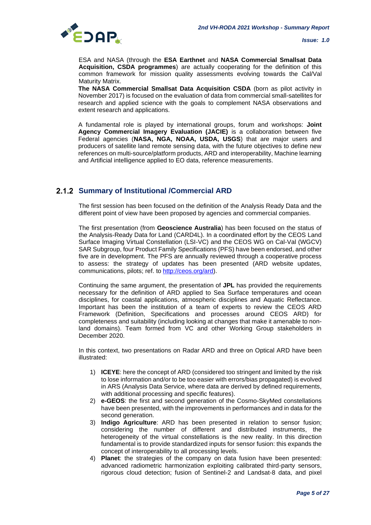

ESA and NASA (through the **ESA Earthnet** and **NASA Commercial Smallsat Data Acquisition, CSDA programmes**) are actually cooperating for the definition of this common framework for mission quality assessments evolving towards the Cal/Val Maturity Matrix.

**The NASA Commercial Smallsat Data Acquisition CSDA** (born as pilot activity in November 2017) is focused on the evaluation of data from commercial small-satellites for research and applied science with the goals to complement NASA observations and extent research and applications.

A fundamental role is played by international groups, forum and workshops: **Joint Agency Commercial Imagery Evaluation (JACIE)** is a collaboration between five Federal agencies (**NASA, NGA, NOAA, USDA, USGS**) that are major users and producers of satellite land remote sensing data, with the future objectives to define new references on multi-source/platform products, ARD and interoperability, Machine learning and Artificial intelligence applied to EO data, reference measurements.

# **2.1.2 Summary of Institutional /Commercial ARD**

The first session has been focused on the definition of the Analysis Ready Data and the different point of view have been proposed by agencies and commercial companies.

The first presentation (from **Geoscience Australia**) has been focused on the status of the Analysis-Ready Data for Land (CARD4L). In a coordinated effort by the CEOS Land Surface Imaging Virtual Constellation (LSI-VC) and the CEOS WG on Cal-Val (WGCV) SAR Subgroup, four Product Family Specifications (PFS) have been endorsed, and other five are in development. The PFS are annually reviewed through a cooperative process to assess: the strategy of updates has been presented (ARD website updates, communications, pilots; ref. to [http://ceos.org/ard\)](http://ceos.org/ard).

Continuing the same argument, the presentation of **JPL** has provided the requirements necessary for the definition of ARD applied to Sea Surface temperatures and ocean disciplines, for coastal applications, atmospheric disciplines and Aquatic Reflectance. Important has been the institution of a team of experts to review the CEOS ARD Framework (Definition, Specifications and processes around CEOS ARD) for completeness and suitability (including looking at changes that make it amenable to nonland domains). Team formed from VC and other Working Group stakeholders in December 2020.

In this context, two presentations on Radar ARD and three on Optical ARD have been illustrated:

- 1) **ICEYE**: here the concept of ARD (considered too stringent and limited by the risk to lose information and/or to be too easier with errors/bias propagated) is evolved in ARS (Analysis Data Service, where data are derived by defined requirements, with additional processing and specific features).
- 2) **e-GEOS**: the first and second generation of the Cosmo-SkyMed constellations have been presented, with the improvements in performances and in data for the second generation.
- 3) **Indigo Agriculture**: ARD has been presented in relation to sensor fusion; considering the number of different and distributed instruments, the heterogeneity of the virtual constellations is the new reality. In this direction fundamental is to provide standardized inputs for sensor fusion: this expands the concept of interoperability to all processing levels.
- 4) **Planet**: the strategies of the company on data fusion have been presented: advanced radiometric harmonization exploiting calibrated third-party sensors, rigorous cloud detection; fusion of Sentinel-2 and Landsat-8 data, and pixel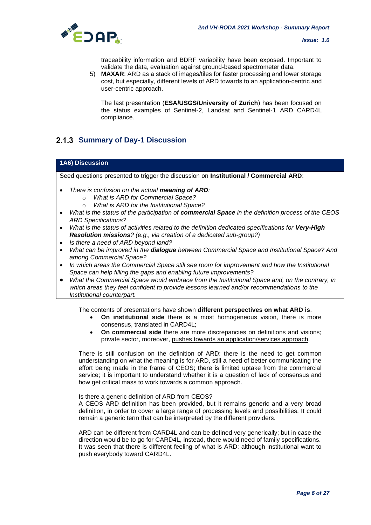

traceability information and BDRF variability have been exposed. Important to validate the data, evaluation against ground-based spectrometer data.

5) **MAXAR**: ARD as a stack of images/tiles for faster processing and lower storage cost, but especially, different levels of ARD towards to an application-centric and user-centric approach.

The last presentation (**ESA/USGS/University of Zurich**) has been focused on the status examples of Sentinel-2, Landsat and Sentinel-1 ARD CARD4L compliance.

# **2.1.3 Summary of Day-1 Discussion**

### **1A6) Discussion**

Seed questions presented to trigger the discussion on **Institutional / Commercial ARD**:

- *There is confusion on the actual meaning of ARD:*
	- o *What is ARD for Commercial Space?*
	- o *What is ARD for the Institutional Space?*
- *What is the status of the participation of commercial Space in the definition process of the CEOS ARD Specifications?*
- *What is the status of activities related to the definition dedicated specifications for Very-High Resolution missions? (e.g., via creation of a dedicated sub-group?)*
- *Is there a need of ARD beyond land?*
- *What can be improved in the dialogue between Commercial Space and Institutional Space? And among Commercial Space?*
- *In which areas the Commercial Space still see room for improvement and how the Institutional Space can help filling the gaps and enabling future improvements?*
- *What the Commercial Space would embrace from the Institutional Space and, on the contrary, in which areas they feel confident to provide lessons learned and/or recommendations to the Institutional counterpart.*

The contents of presentations have shown **different perspectives on what ARD is**.

- **On institutional side** there is a most homogeneous vision, there is more consensus, translated in CARD4L;
- **On commercial side** there are more discrepancies on definitions and visions; private sector, moreover, pushes towards an application/services approach.

There is still confusion on the definition of ARD: there is the need to get common understanding on what the meaning is for ARD, still a need of better communicating the effort being made in the frame of CEOS; there is limited uptake from the commercial service; it is important to understand whether it is a question of lack of consensus and how get critical mass to work towards a common approach.

Is there a generic definition of ARD from CEOS?

A CEOS ARD definition has been provided, but it remains generic and a very broad definition, in order to cover a large range of processing levels and possibilities. It could remain a generic term that can be interpreted by the different providers.

ARD can be different from CARD4L and can be defined very generically; but in case the direction would be to go for CARD4L, instead, there would need of family specifications. It was seen that there is different feeling of what is ARD; although institutional want to push everybody toward CARD4L.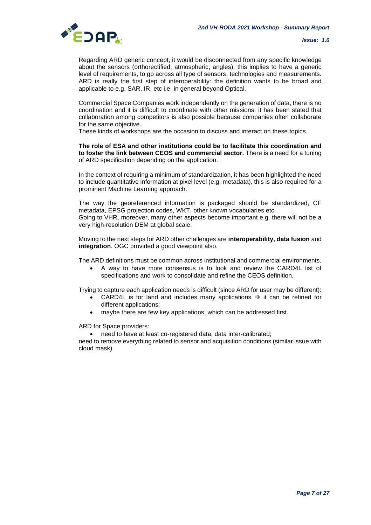

Regarding ARD generic concept, it would be disconnected from any specific knowledge about the sensors (orthorectified, atmospheric, angles): this implies to have a generic level of requirements, to go across all type of sensors, technologies and measurements. ARD is really the first step of interoperability: the definition wants to be broad and applicable to e.g. SAR, IR, etc i.e. in general beyond Optical.

Commercial Space Companies work independently on the generation of data, there is no coordination and it is difficult to coordinate with other missions: it has been stated that collaboration among competitors is also possible because companies often collaborate for the same objective.

These kinds of workshops are the occasion to discuss and interact on these topics.

### **The role of ESA and other institutions could be to facilitate this coordination and to foster the link between CEOS and commercial sector.** There is a need for a tuning of ARD specification depending on the application.

In the context of requiring a minimum of standardization, it has been highlighted the need to include quantitative information at pixel level (e.g. metadata), this is also required for a prominent Machine Learning approach.

The way the georeferenced information is packaged should be standardized, CF metadata, EPSG projection codes, WKT, other known vocabularies etc. Going to VHR, moreover, many other aspects become important e.g. there will not be a very high-resolution DEM at global scale.

Moving to the next steps for ARD other challenges are **interoperability, data fusion** and **integration**. OGC provided a good viewpoint also.

The ARD definitions must be common across institutional and commercial environments.

• A way to have more consensus is to look and review the CARD4L list of specifications and work to consolidate and refine the CEOS definition.

Trying to capture each application needs is difficult (since ARD for user may be different):

- CARD4L is for land and includes many applications  $\rightarrow$  it can be refined for different applications;
- maybe there are few key applications, which can be addressed first.

ARD for Space providers:

• need to have at least co-registered data, data inter-calibrated;

need to remove everything related to sensor and acquisition conditions (similar issue with cloud mask).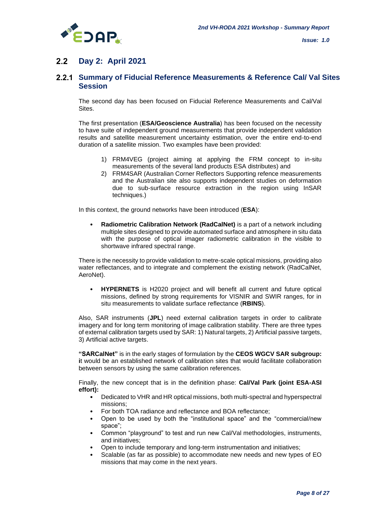

#### $2.2$ **Day 2: April 2021**

# **Summary of Fiducial Reference Measurements & Reference Cal/ Val Sites Session**

The second day has been focused on Fiducial Reference Measurements and Cal/Val Sites.

The first presentation (**ESA/Geoscience Australia**) has been focused on the necessity to have suite of independent ground measurements that provide independent validation results and satellite measurement uncertainty estimation, over the entire end-to-end duration of a satellite mission. Two examples have been provided:

- 1) FRM4VEG (project aiming at applying the FRM concept to in-situ measurements of the several land products ESA distributes) and
- 2) FRM4SAR (Australian Corner Reflectors Supporting refence measurements and the Australian site also supports independent studies on deformation due to sub-surface resource extraction in the region using InSAR techniques.)

In this context, the ground networks have been introduced (**ESA**):

• **Radiometric Calibration Network (RadCalNet)** is a part of a network including multiple sites designed to provide automated surface and atmosphere in situ data with the purpose of optical imager radiometric calibration in the visible to shortwave infrared spectral range.

There is the necessity to provide validation to metre-scale optical missions, providing also water reflectances, and to integrate and complement the existing network (RadCalNet, AeroNet).

• **HYPERNETS** is H2020 project and will benefit all current and future optical missions, defined by strong requirements for VISNIR and SWIR ranges, for in situ measurements to validate surface reflectance (**RBINS**).

Also, SAR instruments (**JPL**) need external calibration targets in order to calibrate imagery and for long term monitoring of image calibration stability. There are three types of external calibration targets used by SAR: 1) Natural targets, 2) Artificial passive targets, 3) Artificial active targets.

**"SARCalNet"** is in the early stages of formulation by the **CEOS WGCV SAR subgroup: i**t would be an established network of calibration sites that would facilitate collaboration between sensors by using the same calibration references.

Finally, the new concept that is in the definition phase: **Cal/Val Park (joint ESA-ASI effort):**

- Dedicated to VHR and HR optical missions, both multi-spectral and hyperspectral missions;
- For both TOA radiance and reflectance and BOA reflectance;
- Open to be used by both the "institutional space" and the "commercial/new space";
- Common "playground" to test and run new Cal/Val methodologies, instruments, and initiatives;
- Open to include temporary and long-term instrumentation and initiatives;
- Scalable (as far as possible) to accommodate new needs and new types of EO missions that may come in the next years.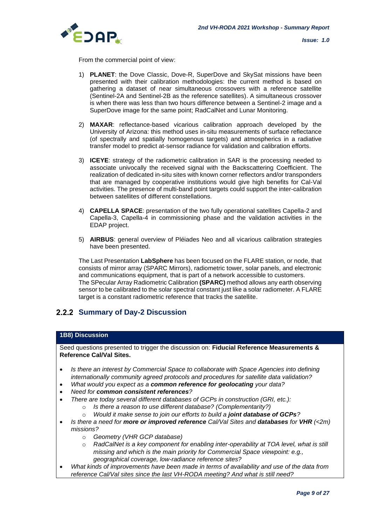

From the commercial point of view:

- 1) **PLANET**: the Dove Classic, Dove-R, SuperDove and SkySat missions have been presented with their calibration methodologies: the current method is based on gathering a dataset of near simultaneous crossovers with a reference satellite (Sentinel-2A and Sentinel-2B as the reference satellites). A simultaneous crossover is when there was less than two hours difference between a Sentinel-2 image and a SuperDove image for the same point; RadCalNet and Lunar Monitoring.
- 2) **MAXAR**: reflectance-based vicarious calibration approach developed by the University of Arizona: this method uses in-situ measurements of surface reflectance (of spectrally and spatially homogenous targets) and atmospherics in a radiative transfer model to predict at-sensor radiance for validation and calibration efforts.
- 3) **ICEYE**: strategy of the radiometric calibration in SAR is the processing needed to associate univocally the received signal with the Backscattering Coefficient. The realization of dedicated in-situ sites with known corner reflectors and/or transponders that are managed by cooperative institutions would give high benefits for Cal-Val activities. The presence of multi-band point targets could support the inter-calibration between satellites of different constellations.
- 4) **CAPELLA SPACE**: presentation of the two fully operational satellites Capella-2 and Capella-3, Capella-4 in commissioning phase and the validation activities in the EDAP project.
- 5) **AIRBUS**: general overview of Pléiades Neo and all vicarious calibration strategies have been presented.

The Last Presentation **LabSphere** has been focused on the FLARE station, or node, that consists of mirror array (SPARC Mirrors), radiometric tower, solar panels, and electronic and communications equipment, that is part of a network accessible to customers. The SPecular Array Radiometric Calibration **(SPARC)** method allows any earth observing sensor to be calibrated to the solar spectral constant just like a solar radiometer. A FLARE target is a constant radiometric reference that tracks the satellite.

# **2.2.2 Summary of Day-2 Discussion**

### **1B8) Discussion**

Seed questions presented to trigger the discussion on: **Fiducial Reference Measurements & Reference Cal/Val Sites.**

- *Is there an interest by Commercial Space to collaborate with Space Agencies into defining internationally community agreed protocols and procedures for satellite data validation?*
- *What would you expect as a common reference for geolocating your data?*
- *Need for common consistent references?*
- *There are today several different databases of GCPs in construction (GRI, etc.):*
	- o *Is there a reason to use different database? (Complementarity?)*
	- o *Would it make sense to join our efforts to build a joint database of GCPs?*
- *Is there a need for more or improved reference Cal/Val Sites and databases for VHR (<2m) missions?*
	- o *Geometry (VHR GCP database)*
	- o *RadCalNet is a key component for enabling inter-operability at TOA level, what is still missing and which is the main priority for Commercial Space viewpoint: e.g., geographical coverage, low-radiance reference sites?*
- *What kinds of improvements have been made in terms of availability and use of the data from reference Cal/Val sites since the last VH-RODA meeting? And what is still need?*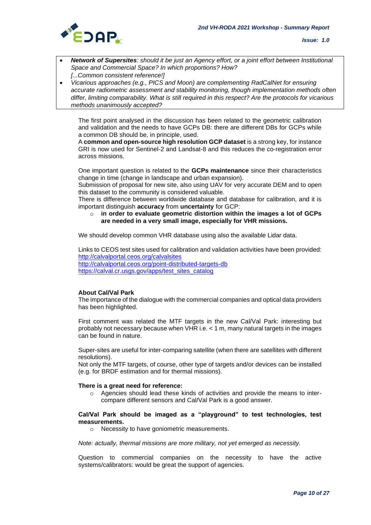

- *Network of Supersites: should it be just an Agency effort, or a joint effort between Institutional Space and Commercial Space? In which proportions? How? [...Common consistent reference!]*
- *Vicarious approaches (e.g., PICS and Moon) are complementing RadCalNet for ensuring accurate radiometric assessment and stability monitoring, though implementation methods often differ, limiting comparability. What is still required in this respect? Are the protocols for vicarious methods unanimously accepted?*

The first point analysed in the discussion has been related to the geometric calibration and validation and the needs to have GCPs DB: there are different DBs for GCPs while a common DB should be, in principle, used.

A **common and open-source high resolution GCP dataset** is a strong key, for instance GRI is now used for Sentinel-2 and Landsat-8 and this reduces the co-registration error across missions.

One important question is related to the **GCPs maintenance** since their characteristics change in time (change in landscape and urban expansion).

Submission of proposal for new site, also using UAV for very accurate DEM and to open this dataset to the community is considered valuable.

There is difference between worldwide database and database for calibration, and it is important distinguish **accuracy** from **uncertainty** for GCP:

o **in order to evaluate geometric distortion within the images a lot of GCPs are needed in a very small image, especially for VHR missions.**

We should develop common VHR database using also the available Lidar data.

Links to CEOS test sites used for calibration and validation activities have been provided: <http://calvalportal.ceos.org/calvalsites> <http://calvalportal.ceos.org/point-distributed-targets-db> [https://calval.cr.usgs.gov/apps/test\\_sites\\_catalog](https://calval.cr.usgs.gov/apps/test_sites_catalog)

### **About Cal/Val Park**

The importance of the dialogue with the commercial companies and optical data providers has been highlighted.

First comment was related the MTF targets in the new Cal/Val Park: interesting but probably not necessary because when VHR i.e. < 1 m, many natural targets in the images can be found in nature.

Super-sites are useful for inter-comparing satellite (when there are satellites with different resolutions).

Not only the MTF targets, of course, other type of targets and/or devices can be installed (e.g. for BRDF estimation and for thermal missions).

#### **There is a great need for reference:**

 $\circ$  Agencies should lead these kinds of activities and provide the means to intercompare different sensors and Cal/Val Park is a good answer.

#### **Cal/Val Park should be imaged as a "playground" to test technologies, test measurements.**

o Necessity to have goniometric measurements.

*Note: actually, thermal missions are more military, not yet emerged as necessity.*

Question to commercial companies on the necessity to have the active systems/calibrators: would be great the support of agencies.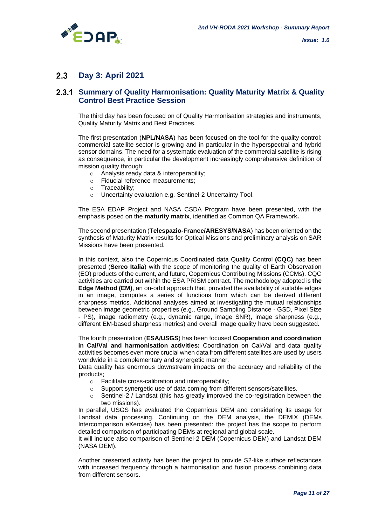

#### $2.3$ **Day 3: April 2021**

## **Summary of Quality Harmonisation: Quality Maturity Matrix & Quality Control Best Practice Session**

The third day has been focused on of Quality Harmonisation strategies and instruments, Quality Maturity Matrix and Best Practices.

The first presentation (**NPL/NASA**) has been focused on the tool for the quality control: commercial satellite sector is growing and in particular in the hyperspectral and hybrid sensor domains. The need for a systematic evaluation of the commercial satellite is rising as consequence, in particular the development increasingly comprehensive definition of mission quality through:

- o Analysis ready data & interoperability;
- o Fiducial reference measurements;
- o Traceability;
- o Uncertainty evaluation e.g. Sentinel-2 Uncertainty Tool.

The ESA EDAP Project and NASA CSDA Program have been presented, with the emphasis posed on the **maturity matrix**, identified as Common QA Framework**.**

The second presentation (**Telespazio-France/ARESYS/NASA**) has been oriented on the synthesis of Maturity Matrix results for Optical Missions and preliminary analysis on SAR Missions have been presented.

In this context, also the Copernicus Coordinated data Quality Control **(CQC)** has been presented (**Serco Italia**) with the scope of monitoring the quality of Earth Observation (EO) products of the current, and future, Copernicus Contributing Missions (CCMs). CQC activities are carried out within the ESA PRISM contract. The methodology adopted is **the Edge Method (EM)**, an on-orbit approach that, provided the availability of suitable edges in an image, computes a series of functions from which can be derived different sharpness metrics. Additional analyses aimed at investigating the mutual relationships between image geometric properties (e.g., Ground Sampling Distance - GSD, Pixel Size - PS), image radiometry (e.g., dynamic range, image SNR), image sharpness (e.g., different EM-based sharpness metrics) and overall image quality have been suggested.

The fourth presentation (**ESA/USGS**) has been focused **Cooperation and coordination in Cal/Val and harmonisation activities:** Coordination on Cal/Val and data quality activities becomes even more crucial when data from different satellites are used by users worldwide in a complementary and synergetic manner.

Data quality has enormous downstream impacts on the accuracy and reliability of the products;

- o Facilitate cross-calibration and interoperability;
- o Support synergetic use of data coming from different sensors/satellites.
- o Sentinel-2 / Landsat (this has greatly improved the co-registration between the two missions).

In parallel, USGS has evaluated the Copernicus DEM and considering its usage for Landsat data processing. Continuing on the DEM analysis, the DEMIX (DEMs Intercomparison eXercise) has been presented: the project has the scope to perform detailed comparison of participating DEMs at regional and global scale.

It will include also comparison of Sentinel-2 DEM (Copernicus DEM) and Landsat DEM (NASA DEM).

Another presented activity has been the project to provide S2-like surface reflectances with increased frequency through a harmonisation and fusion process combining data from different sensors.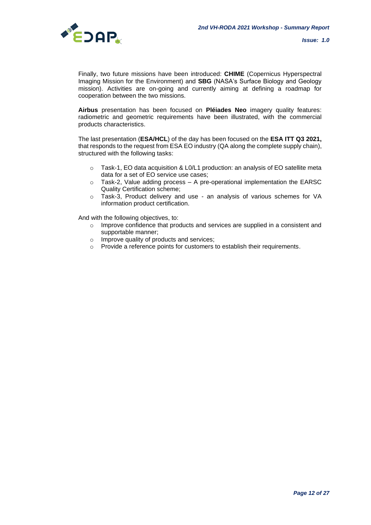

Finally, two future missions have been introduced: **CHIME** (Copernicus Hyperspectral Imaging Mission for the Environment) and **SBG** (NASA's Surface Biology and Geology mission). Activities are on-going and currently aiming at defining a roadmap for cooperation between the two missions.

**Airbus** presentation has been focused on **Pléiades Neo** imagery quality features: radiometric and geometric requirements have been illustrated, with the commercial products characteristics.

The last presentation (**ESA/HCL**) of the day has been focused on the **ESA ITT Q3 2021,** that responds to the request from ESA EO industry (QA along the complete supply chain), structured with the following tasks:

- $\circ$  Task-1, EO data acquisition & L0/L1 production: an analysis of EO satellite meta data for a set of EO service use cases;
- $\circ$  Task-2, Value adding process  $-$  A pre-operational implementation the EARSC Quality Certification scheme;
- o Task-3, Product delivery and use an analysis of various schemes for VA information product certification.

And with the following objectives, to:

- o Improve confidence that products and services are supplied in a consistent and supportable manner;
- o Improve quality of products and services;
- $\circ$  Provide a reference points for customers to establish their requirements.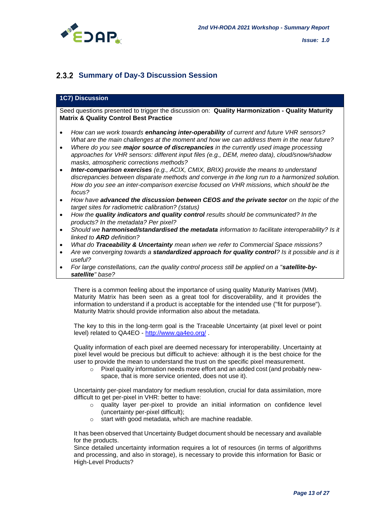



# **2.3.2 Summary of Day-3 Discussion Session**

### **1C7) Discussion**

Seed questions presented to trigger the discussion on: **Quality Harmonization - Quality Maturity Matrix & Quality Control Best Practice**

- *How can we work towards enhancing inter-operability of current and future VHR sensors? What are the main challenges at the moment and how we can address them in the near future?*
- *Where do you see major source of discrepancies in the currently used image processing approaches for VHR sensors: different input files (e.g., DEM, meteo data), cloud/snow/shadow masks, atmospheric corrections methods?*
- *Inter-comparison exercises (e.g., ACIX, CMIX, BRIX) provide the means to understand discrepancies between disparate methods and converge in the long run to a harmonized solution. How do you see an inter-comparison exercise focused on VHR missions, which should be the focus?*
- *How have advanced the discussion between CEOS and the private sector on the topic of the target sites for radiometric calibration? (status)*
- *How the quality indicators and quality control results should be communicated? In the products? In the metadata? Per pixel?*
- *Should we harmonised/standardised the metadata information to facilitate interoperability? Is it linked to ARD definition?*
- *What do Traceability & Uncertainty mean when we refer to Commercial Space missions?*
- *Are we converging towards a standardized approach for quality control? Is it possible and is it useful?*
- *For large constellations, can the quality control process still be applied on a "satellite-bysatellite" base?*

There is a common feeling about the importance of using quality Maturity Matrixes (MM). Maturity Matrix has been seen as a great tool for discoverability, and it provides the information to understand if a product is acceptable for the intended use ("fit for purpose"). Maturity Matrix should provide information also about the metadata.

The key to this in the long-term goal is the Traceable Uncertainty (at pixel level or point level) related to QA4EO - <http://www.qa4eo.org/> .

Quality information of each pixel are deemed necessary for interoperability. Uncertainty at pixel level would be precious but difficult to achieve: although it is the best choice for the user to provide the mean to understand the trust on the specific pixel measurement.

 $\circ$  Pixel quality information needs more effort and an added cost (and probably newspace, that is more service oriented, does not use it).

Uncertainty per-pixel mandatory for medium resolution, crucial for data assimilation, more difficult to get per-pixel in VHR: better to have:

- o quality layer per-pixel to provide an initial information on confidence level (uncertainty per-pixel difficult);
- o start with good metadata, which are machine readable.

It has been observed that Uncertainty Budget document should be necessary and available for the products.

Since detailed uncertainty information requires a lot of resources (in terms of algorithms and processing, and also in storage), is necessary to provide this information for Basic or High-Level Products?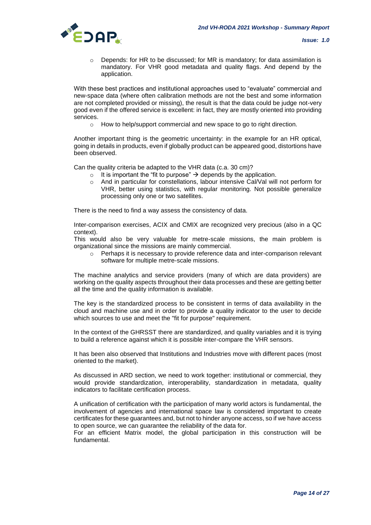

o Depends: for HR to be discussed; for MR is mandatory; for data assimilation is mandatory. For VHR good metadata and quality flags. And depend by the application.

With these best practices and institutional approaches used to "evaluate" commercial and new-space data (where often calibration methods are not the best and some information are not completed provided or missing), the result is that the data could be judge not-very good even if the offered service is excellent: in fact, they are mostly oriented into providing services.

o How to help/support commercial and new space to go to right direction.

Another important thing is the geometric uncertainty: in the example for an HR optical, going in details in products, even if globally product can be appeared good, distortions have been observed.

Can the quality criteria be adapted to the VHR data (c.a. 30 cm)?

- $\circ$  It is important the "fit to purpose"  $\rightarrow$  depends by the application.
- o And in particular for constellations, labour intensive Cal/Val will not perform for VHR, better using statistics, with regular monitoring. Not possible generalize processing only one or two satellites.

There is the need to find a way assess the consistency of data.

Inter-comparison exercises, ACIX and CMIX are recognized very precious (also in a QC context).

This would also be very valuable for metre-scale missions, the main problem is organizational since the missions are mainly commercial.

 $\circ$  Perhaps it is necessary to provide reference data and inter-comparison relevant software for multiple metre-scale missions.

The machine analytics and service providers (many of which are data providers) are working on the quality aspects throughout their data processes and these are getting better all the time and the quality information is available.

The key is the standardized process to be consistent in terms of data availability in the cloud and machine use and in order to provide a quality indicator to the user to decide which sources to use and meet the "fit for purpose" requirement.

In the context of the GHRSST there are standardized, and quality variables and it is trying to build a reference against which it is possible inter-compare the VHR sensors.

It has been also observed that Institutions and Industries move with different paces (most oriented to the market).

As discussed in ARD section, we need to work together: institutional or commercial, they would provide standardization, interoperability, standardization in metadata, quality indicators to facilitate certification process.

A unification of certification with the participation of many world actors is fundamental, the involvement of agencies and international space law is considered important to create certificates for these guarantees and, but not to hinder anyone access, so if we have access to open source, we can guarantee the reliability of the data for.

For an efficient Matrix model, the global participation in this construction will be fundamental.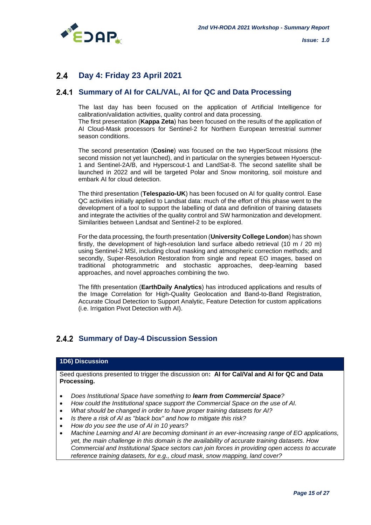

#### $24$ **Day 4: Friday 23 April 2021**

# 2.4.1 Summary of AI for CAL/VAL, AI for QC and Data Processing

The last day has been focused on the application of Artificial Intelligence for calibration/validation activities, quality control and data processing. The first presentation (**Kappa Zeta**) has been focused on the results of the application of AI Cloud-Mask processors for Sentinel-2 for Northern European terrestrial summer season conditions.

The second presentation (**Cosine**) was focused on the two HyperScout missions (the second mission not yet launched), and in particular on the synergies between Hyoerscut-1 and Sentinel-2A/B, and Hyperscout-1 and LandSat-8. The second satellite shall be launched in 2022 and will be targeted Polar and Snow monitoring, soil moisture and embark AI for cloud detection.

The third presentation (**Telespazio-UK**) has been focused on AI for quality control. Ease QC activities initially applied to Landsat data: much of the effort of this phase went to the development of a tool to support the labelling of data and definition of training datasets and integrate the activities of the quality control and SW harmonization and development. Similarities between Landsat and Sentinel-2 to be explored.

For the data processing, the fourth presentation (**University College London**) has shown firstly, the development of high-resolution land surface albedo retrieval (10 m / 20 m) using Sentinel-2 MSI, including cloud masking and atmospheric correction methods; and secondly, Super-Resolution Restoration from single and repeat EO images, based on traditional photogrammetric and stochastic approaches, deep-learning based approaches, and novel approaches combining the two.

The fifth presentation (**EarthDaily Analytics**) has introduced applications and results of the Image Correlation for High-Quality Geolocation and Band-to-Band Registration, Accurate Cloud Detection to Support Analytic, Feature Detection for custom applications (i.e. Irrigation Pivot Detection with AI).

# **2.4.2 Summary of Day-4 Discussion Session**

### **1D6) Discussion**

Seed questions presented to trigger the discussion on**: AI for Cal/Val and AI for QC and Data Processing.**

- *Does Institutional Space have something to learn from Commercial Space?*
- *How could the Institutional space support the Commercial Space on the use of AI.*
- *What should be changed in order to have proper training datasets for AI?*
- *Is there a risk of AI as "black box" and how to mitigate this risk?*
- *How do you see the use of AI in 10 years?*
- *Machine Learning and AI are becoming dominant in an ever-increasing range of EO applications, yet, the main challenge in this domain is the availability of accurate training datasets. How Commercial and Institutional Space sectors can join forces in providing open access to accurate reference training datasets, for e.g., cloud mask, snow mapping, land cover?*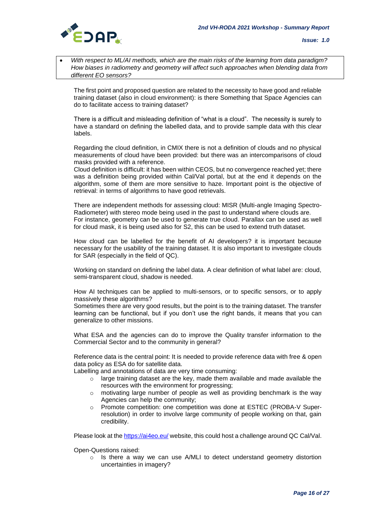

• *With respect to ML/AI methods, which are the main risks of the learning from data paradigm? How biases in radiometry and geometry will affect such approaches when blending data from different EO sensors?*

The first point and proposed question are related to the necessity to have good and reliable training dataset (also in cloud environment): is there Something that Space Agencies can do to facilitate access to training dataset?

There is a difficult and misleading definition of "what is a cloud". The necessity is surely to have a standard on defining the labelled data, and to provide sample data with this clear labels.

Regarding the cloud definition, in CMIX there is not a definition of clouds and no physical measurements of cloud have been provided: but there was an intercomparisons of cloud masks provided with a reference.

Cloud definition is difficult: it has been within CEOS, but no convergence reached yet; there was a definition being provided within Cal/Val portal, but at the end it depends on the algorithm, some of them are more sensitive to haze. Important point is the objective of retrieval: in terms of algorithms to have good retrievals.

There are independent methods for assessing cloud: MISR (Multi-angle Imaging Spectro-Radiometer) with stereo mode being used in the past to understand where clouds are. For instance, geometry can be used to generate true cloud. Parallax can be used as well for cloud mask, it is being used also for S2, this can be used to extend truth dataset.

How cloud can be labelled for the benefit of AI developers? it is important because necessary for the usability of the training dataset. It is also important to investigate clouds for SAR (especially in the field of QC).

Working on standard on defining the label data. A clear definition of what label are: cloud, semi-transparent cloud, shadow is needed.

How AI techniques can be applied to multi-sensors, or to specific sensors, or to apply massively these algorithms?

Sometimes there are very good results, but the point is to the training dataset. The transfer learning can be functional, but if you don't use the right bands, it means that you can generalize to other missions.

What ESA and the agencies can do to improve the Quality transfer information to the Commercial Sector and to the community in general?

Reference data is the central point: It is needed to provide reference data with free & open data policy as ESA do for satellite data.

Labelling and annotations of data are very time consuming:

- o large training dataset are the key, made them available and made available the resources with the environment for progressing;
- $\circ$  motivating large number of people as well as providing benchmark is the way Agencies can help the community;
- o Promote competition: one competition was done at ESTEC (PROBA-V Superresolution) in order to involve large community of people working on that, gain credibility.

Please look at th[e https://ai4eo.eu/](https://ai4eo.eu/) website, this could host a challenge around QC Cal/Val.

Open-Questions raised:

o Is there a way we can use A/MLI to detect understand geometry distortion uncertainties in imagery?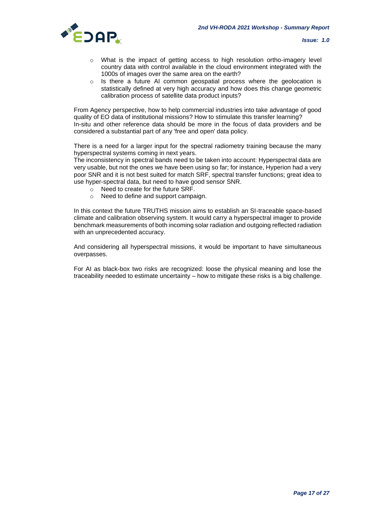

- $\circ$  What is the impact of getting access to high resolution ortho-imagery level country data with control available in the cloud environment integrated with the 1000s of images over the same area on the earth?
- o Is there a future AI common geospatial process where the geolocation is statistically defined at very high accuracy and how does this change geometric calibration process of satellite data product inputs?

From Agency perspective, how to help commercial industries into take advantage of good quality of EO data of institutional missions? How to stimulate this transfer learning? In-situ and other reference data should be more in the focus of data providers and be considered a substantial part of any 'free and open' data policy.

There is a need for a larger input for the spectral radiometry training because the many hyperspectral systems coming in next years.

The inconsistency in spectral bands need to be taken into account: Hyperspectral data are very usable, but not the ones we have been using so far; for instance, Hyperion had a very poor SNR and it is not best suited for match SRF, spectral transfer functions; great idea to use hyper-spectral data, but need to have good sensor SNR.

- o Need to create for the future SRF.
- o Need to define and support campaign.

In this context the future TRUTHS mission aims to establish an SI-traceable space-based climate and calibration observing system. It would carry a hyperspectral imager to provide benchmark measurements of both incoming solar radiation and outgoing reflected radiation with an unprecedented accuracy.

And considering all hyperspectral missions, it would be important to have simultaneous overpasses.

For AI as black-box two risks are recognized: loose the physical meaning and lose the traceability needed to estimate uncertainty – how to mitigate these risks is a big challenge.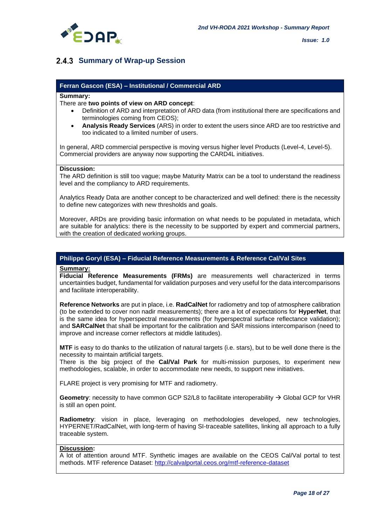

# **2.4.3 Summary of Wrap-up Session**

### **Ferran Gascon (ESA) – Institutional / Commercial ARD**

#### **Summary:**

### There are **two points of view on ARD concept**:

- Definition of ARD and interpretation of ARD data (from institutional there are specifications and terminologies coming from CEOS);
- **Analysis Ready Services** (ARS) in order to extent the users since ARD are too restrictive and too indicated to a limited number of users.

In general, ARD commercial perspective is moving versus higher level Products (Level-4, Level-5). Commercial providers are anyway now supporting the CARD4L initiatives.

### **Discussion:**

The ARD definition is still too vague; maybe Maturity Matrix can be a tool to understand the readiness level and the compliancy to ARD requirements.

Analytics Ready Data are another concept to be characterized and well defined: there is the necessity to define new categorizes with new thresholds and goals.

Moreover, ARDs are providing basic information on what needs to be populated in metadata, which are suitable for analytics: there is the necessity to be supported by expert and commercial partners, with the creation of dedicated working groups.

### **Philippe Goryl (ESA) – Fiducial Reference Measurements & Reference Cal/Val Sites**

#### **Summary:**

**Fiducial Reference Measurements (FRMs)** are measurements well characterized in terms uncertainties budget, fundamental for validation purposes and very useful for the data intercomparisons and facilitate interoperability.

**Reference Networks** are put in place, i.e. **RadCalNet** for radiometry and top of atmosphere calibration (to be extended to cover non nadir measurements); there are a lot of expectations for **HyperNet**, that is the same idea for hyperspectral measurements (for hyperspectral surface reflectance validation); and **SARCalNet** that shall be important for the calibration and SAR missions intercomparison (need to improve and increase corner reflectors at middle latitudes).

**MTF** is easy to do thanks to the utilization of natural targets (i.e. stars), but to be well done there is the necessity to maintain artificial targets.

There is the big project of the **Cal/Val Park** for multi-mission purposes, to experiment new methodologies, scalable, in order to accommodate new needs, to support new initiatives.

FLARE project is very promising for MTF and radiometry.

**Geometry**: necessity to have common GCP S2/L8 to facilitate interoperability → Global GCP for VHR is still an open point.

**Radiometry**: vision in place, leveraging on methodologies developed, new technologies, HYPERNET/RadCalNet, with long-term of having SI-traceable satellites, linking all approach to a fully traceable system.

### **Discussion:**

A lot of attention around MTF. Synthetic images are available on the CEOS Cal/Val portal to test methods. MTF reference Dataset:<http://calvalportal.ceos.org/mtf-reference-dataset>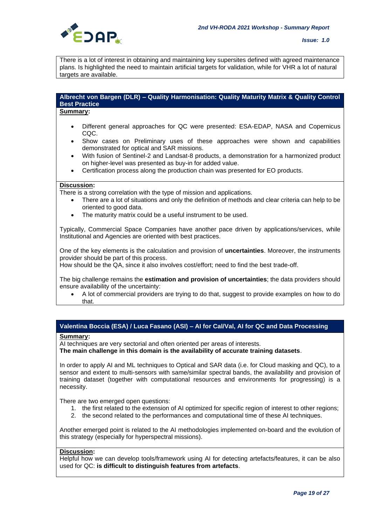

There is a lot of interest in obtaining and maintaining key supersites defined with agreed maintenance plans. Is highlighted the need to maintain artificial targets for validation, while for VHR a lot of natural targets are available.

### **Albrecht von Bargen (DLR) – Quality Harmonisation: Quality Maturity Matrix & Quality Control Best Practice**

#### **Summary:**

- Different general approaches for QC were presented: ESA-EDAP, NASA and Copernicus CQC.
- Show cases on Preliminary uses of these approaches were shown and capabilities demonstrated for optical and SAR missions.
- With fusion of Sentinel-2 and Landsat-8 products, a demonstration for a harmonized product on higher-level was presented as buy-in for added value.
- Certification process along the production chain was presented for EO products.

### **Discussion:**

There is a strong correlation with the type of mission and applications.

- There are a lot of situations and only the definition of methods and clear criteria can help to be oriented to good data.
- The maturity matrix could be a useful instrument to be used.

Typically, Commercial Space Companies have another pace driven by applications/services, while Institutional and Agencies are oriented with best practices.

One of the key elements is the calculation and provision of **uncertainties**. Moreover, the instruments provider should be part of this process.

How should be the QA, since it also involves cost/effort; need to find the best trade-off.

The big challenge remains the **estimation and provision of uncertainties**; the data providers should ensure availability of the uncertainty:

• A lot of commercial providers are trying to do that, suggest to provide examples on how to do that.

# **Valentina Boccia (ESA) / Luca Fasano (ASI) – AI for Cal/Val, AI for QC and Data Processing**

### **Summary:**

AI techniques are very sectorial and often oriented per areas of interests.

**The main challenge in this domain is the availability of accurate training datasets**.

In order to apply AI and ML techniques to Optical and SAR data (i.e. for Cloud masking and QC), to a sensor and extent to multi-sensors with same/similar spectral bands, the availability and provision of training dataset (together with computational resources and environments for progressing) is a necessity.

There are two emerged open questions:

- 1. the first related to the extension of AI optimized for specific region of interest to other regions;
- 2. the second related to the performances and computational time of these AI techniques.

Another emerged point is related to the AI methodologies implemented on-board and the evolution of this strategy (especially for hyperspectral missions).

### **Discussion:**

Helpful how we can develop tools/framework using AI for detecting artefacts/features, it can be also used for QC: **is difficult to distinguish features from artefacts**.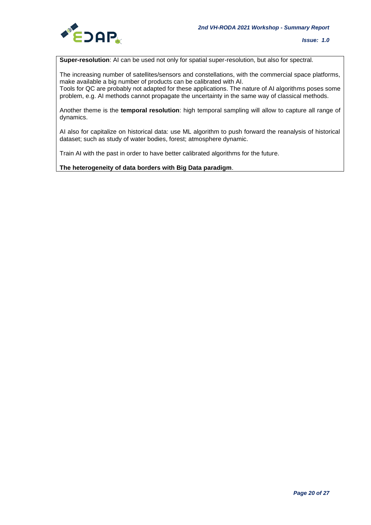

**Super-resolution**: AI can be used not only for spatial super-resolution, but also for spectral.

The increasing number of satellites/sensors and constellations, with the commercial space platforms, make available a big number of products can be calibrated with AI.

Tools for QC are probably not adapted for these applications. The nature of AI algorithms poses some problem, e.g. AI methods cannot propagate the uncertainty in the same way of classical methods.

Another theme is the **temporal resolution**: high temporal sampling will allow to capture all range of dynamics.

AI also for capitalize on historical data: use ML algorithm to push forward the reanalysis of historical dataset; such as study of water bodies, forest; atmosphere dynamic.

Train AI with the past in order to have better calibrated algorithms for the future.

**The heterogeneity of data borders with Big Data paradigm**.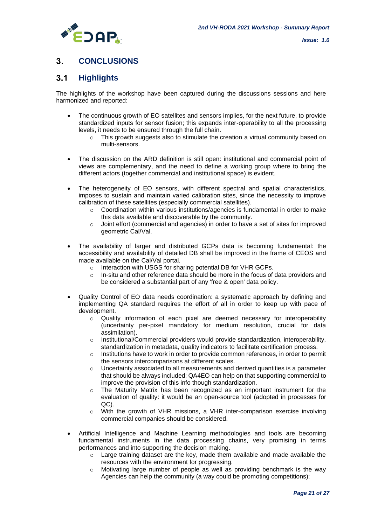

#### $\overline{3}$ **CONCLUSIONS**

#### $3.1$ **Highlights**

The highlights of the workshop have been captured during the discussions sessions and here harmonized and reported:

- The continuous growth of EO satellites and sensors implies, for the next future, to provide standardized inputs for sensor fusion; this expands inter-operability to all the processing levels, it needs to be ensured through the full chain.
	- $\circ$  This growth suggests also to stimulate the creation a virtual community based on multi-sensors.
- The discussion on the ARD definition is still open: institutional and commercial point of views are complementary, and the need to define a working group where to bring the different actors (together commercial and institutional space) is evident.
- The heterogeneity of EO sensors, with different spectral and spatial characteristics, imposes to sustain and maintain varied calibration sites, since the necessity to improve calibration of these satellites (especially commercial satellites).
	- $\circ$  Coordination within various institutions/agencies is fundamental in order to make this data available and discoverable by the community.
	- $\circ$  Joint effort (commercial and agencies) in order to have a set of sites for improved geometric Cal/Val.
- The availability of larger and distributed GCPs data is becoming fundamental: the accessibility and availability of detailed DB shall be improved in the frame of CEOS and made available on the Cal/Val portal.
	- o Interaction with USGS for sharing potential DB for VHR GCPs.
	- $\circ$  In-situ and other reference data should be more in the focus of data providers and be considered a substantial part of any 'free & open' data policy.
- Quality Control of EO data needs coordination: a systematic approach by defining and implementing QA standard requires the effort of all in order to keep up with pace of development.
	- o Quality information of each pixel are deemed necessary for interoperability (uncertainty per-pixel mandatory for medium resolution, crucial for data assimilation).
	- $\circ$  Institutional/Commercial providers would provide standardization, interoperability, standardization in metadata, quality indicators to facilitate certification process.
	- $\circ$  Institutions have to work in order to provide common references, in order to permit the sensors intercomparisons at different scales.
	- $\circ$  Uncertainty associated to all measurements and derived quantities is a parameter that should be always included: QA4EO can help on that supporting commercial to improve the provision of this info though standardization.
	- $\circ$  The Maturity Matrix has been recognized as an important instrument for the evaluation of quality: it would be an open-source tool (adopted in processes for QC).
	- o With the growth of VHR missions, a VHR inter-comparison exercise involving commercial companies should be considered.
- Artificial Intelligence and Machine Learning methodologies and tools are becoming fundamental instruments in the data processing chains, very promising in terms performances and into supporting the decision making.
	- $\circ$  Large training dataset are the key, made them available and made available the resources with the environment for progressing.
	- $\circ$  Motivating large number of people as well as providing benchmark is the way Agencies can help the community (a way could be promoting competitions);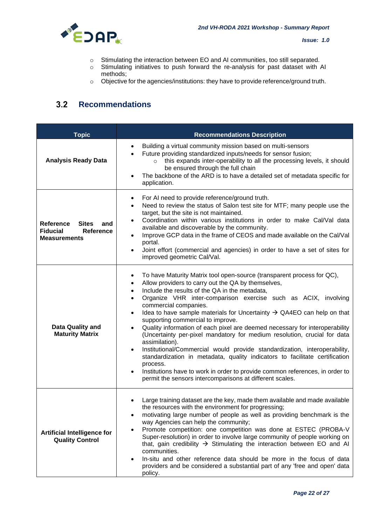

- o Stimulating the interaction between EO and AI communities, too still separated.
- o Stimulating initiatives to push forward the re-analysis for past dataset with AI methods;
- o Objective for the agencies/institutions: they have to provide reference/ground truth.

#### $3.2$ **Recommendations**

| <b>Topic</b>                                                                            | <b>Recommendations Description</b>                                                                                                                                                                                                                                                                                                                                                                                                                                                                                                                                                                                                                                                                                                                                                                                                                                                                                                                                                                    |
|-----------------------------------------------------------------------------------------|-------------------------------------------------------------------------------------------------------------------------------------------------------------------------------------------------------------------------------------------------------------------------------------------------------------------------------------------------------------------------------------------------------------------------------------------------------------------------------------------------------------------------------------------------------------------------------------------------------------------------------------------------------------------------------------------------------------------------------------------------------------------------------------------------------------------------------------------------------------------------------------------------------------------------------------------------------------------------------------------------------|
| <b>Analysis Ready Data</b>                                                              | Building a virtual community mission based on multi-sensors<br>Future providing standardized inputs/needs for sensor fusion;<br>this expands inter-operability to all the processing levels, it should<br>be ensured through the full chain<br>The backbone of the ARD is to have a detailed set of metadata specific for<br>application.                                                                                                                                                                                                                                                                                                                                                                                                                                                                                                                                                                                                                                                             |
| Reference<br><b>Sites</b><br>and<br><b>Fiducial</b><br>Reference<br><b>Measurements</b> | For AI need to provide reference/ground truth.<br>٠<br>Need to review the status of Salon test site for MTF; many people use the<br>target, but the site is not maintained.<br>Coordination within various institutions in order to make Cal/Val data<br>$\bullet$<br>available and discoverable by the community.<br>Improve GCP data in the frame of CEOS and made available on the Cal/Val<br>portal.<br>Joint effort (commercial and agencies) in order to have a set of sites for<br>improved geometric Cal/Val.                                                                                                                                                                                                                                                                                                                                                                                                                                                                                 |
| Data Quality and<br><b>Maturity Matrix</b>                                              | To have Maturity Matrix tool open-source (transparent process for QC),<br>٠<br>Allow providers to carry out the QA by themselves,<br>$\bullet$<br>Include the results of the QA in the metadata,<br>$\bullet$<br>Organize VHR inter-comparison exercise such as ACIX, involving<br>$\bullet$<br>commercial companies.<br>Idea to have sample materials for Uncertainty $\rightarrow$ QA4EO can help on that<br>$\bullet$<br>supporting commercial to improve.<br>Quality information of each pixel are deemed necessary for interoperability<br>$\bullet$<br>(Uncertainty per-pixel mandatory for medium resolution, crucial for data<br>assimilation).<br>Institutional/Commercial would provide standardization, interoperability,<br>$\bullet$<br>standardization in metadata, quality indicators to facilitate certification<br>process.<br>Institutions have to work in order to provide common references, in order to<br>$\bullet$<br>permit the sensors intercomparisons at different scales. |
| <b>Artificial Intelligence for</b><br><b>Quality Control</b>                            | Large training dataset are the key, made them available and made available<br>the resources with the environment for progressing;<br>motivating large number of people as well as providing benchmark is the<br>way Agencies can help the community;<br>Promote competition: one competition was done at ESTEC (PROBA-V<br>$\bullet$<br>Super-resolution) in order to involve large community of people working on<br>that, gain credibility $\rightarrow$ Stimulating the interaction between EO and AI<br>communities.<br>In-situ and other reference data should be more in the focus of data<br>providers and be considered a substantial part of any 'free and open' data<br>policy.                                                                                                                                                                                                                                                                                                             |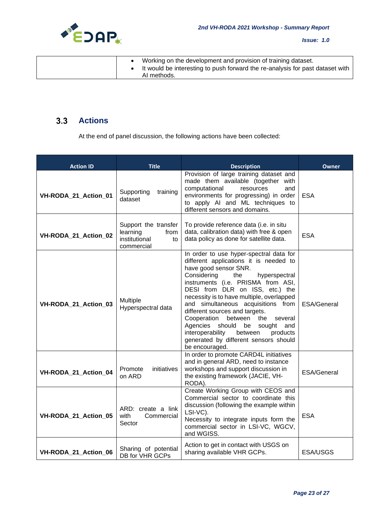

*Issue: 1.0*

|  | Working on the development and provision of training dataset.                 |
|--|-------------------------------------------------------------------------------|
|  | It would be interesting to push forward the re-analysis for past dataset with |
|  | AI methods.                                                                   |

#### $3.3$ **Actions**

At the end of panel discussion, the following actions have been collected:

| <b>Action ID</b>     | <b>Title</b>                                                                  | <b>Description</b>                                                                                                                                                                                                                                                                                                                                                                                                                                                                                                                       | <b>Owner</b>       |
|----------------------|-------------------------------------------------------------------------------|------------------------------------------------------------------------------------------------------------------------------------------------------------------------------------------------------------------------------------------------------------------------------------------------------------------------------------------------------------------------------------------------------------------------------------------------------------------------------------------------------------------------------------------|--------------------|
| VH-RODA_21_Action_01 | training<br>Supporting<br>dataset                                             | Provision of large training dataset and<br>made them available (together with<br>computational<br>resources<br>and<br>environments for progressing) in order<br>to apply AI and ML techniques to<br>different sensors and domains.                                                                                                                                                                                                                                                                                                       | <b>ESA</b>         |
| VH-RODA_21_Action_02 | Support the transfer<br>learning<br>from<br>institutional<br>to<br>commercial | To provide reference data (i.e. in situ<br>data, calibration data) with free & open<br>data policy as done for satellite data.                                                                                                                                                                                                                                                                                                                                                                                                           | <b>ESA</b>         |
| VH-RODA_21_Action_03 | Multiple<br>Hyperspectral data                                                | In order to use hyper-spectral data for<br>different applications it is needed to<br>have good sensor SNR.<br>Considering<br>the<br>hyperspectral<br>instruments (i.e. PRISMA from ASI,<br>DESI from DLR on ISS, etc.) the<br>necessity is to have multiple, overlapped<br>and simultaneous acquisitions from<br>different sources and targets.<br>Cooperation<br>between<br>the<br>several<br>Agencies should be<br>sought<br>and<br>interoperability<br>between<br>products<br>generated by different sensors should<br>be encouraged. | <b>ESA/General</b> |
| VH-RODA_21_Action_04 | initiatives<br>Promote<br>on ARD                                              | In order to promote CARD4L initiatives<br>and in general ARD, need to instance<br>workshops and support discussion in<br>the existing framework (JACIE, VH-<br>RODA).                                                                                                                                                                                                                                                                                                                                                                    | ESA/General        |
| VH-RODA_21_Action_05 | ARD: create a link<br>with<br>Commercial<br>Sector                            | Create Working Group with CEOS and<br>Commercial sector to coordinate this<br>discussion (following the example within<br>LSI-VC).<br>Necessity to integrate inputs form the<br>commercial sector in LSI-VC, WGCV,<br>and WGISS.                                                                                                                                                                                                                                                                                                         | <b>ESA</b>         |
| VH-RODA 21 Action 06 | Sharing of potential<br>DB for VHR GCPs                                       | Action to get in contact with USGS on<br>sharing available VHR GCPs.                                                                                                                                                                                                                                                                                                                                                                                                                                                                     | <b>ESA/USGS</b>    |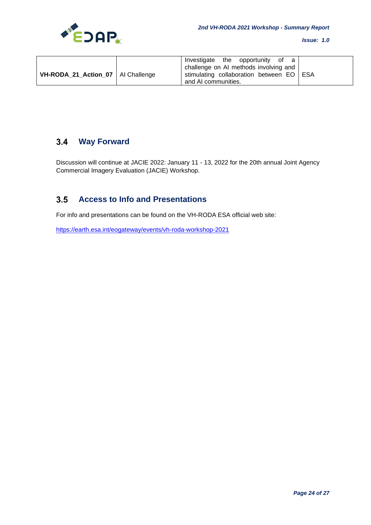

| VH-RODA_21_Action_07   Al Challenge | Investigate the opportunity of a<br>challenge on AI methods involving and<br>stimulating collaboration between EO   ESA |
|-------------------------------------|-------------------------------------------------------------------------------------------------------------------------|
|                                     | and AI communities.                                                                                                     |

#### **Way Forward**  $3.4$

Discussion will continue at JACIE 2022: January 11 - 13, 2022 for the 20th annual Joint Agency Commercial Imagery Evaluation (JACIE) Workshop.

#### $3.5$ **Access to Info and Presentations**

For info and presentations can be found on the VH-RODA ESA official web site:

<https://earth.esa.int/eogateway/events/vh-roda-workshop-2021>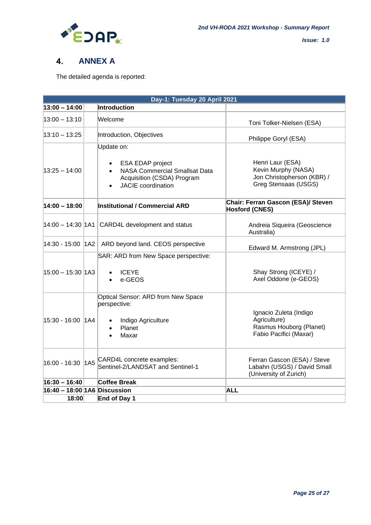

#### $\overline{4}$ . **ANNEX A**

The detailed agenda is reported:

|                              | Day-1: Tuesday 20 April 2021 |                                                                                                                                                             |                                                                                               |  |  |  |
|------------------------------|------------------------------|-------------------------------------------------------------------------------------------------------------------------------------------------------------|-----------------------------------------------------------------------------------------------|--|--|--|
| $13:00 - 14:00$              |                              | Introduction                                                                                                                                                |                                                                                               |  |  |  |
| $13:00 - 13:10$              |                              | Welcome                                                                                                                                                     | Toni Tolker-Nielsen (ESA)                                                                     |  |  |  |
| $13:10 - 13:25$              |                              | Introduction, Objectives                                                                                                                                    | Philippe Goryl (ESA)                                                                          |  |  |  |
| $13:25 - 14:00$              |                              | Update on:<br>ESA EDAP project<br>$\bullet$<br><b>NASA Commercial Smallsat Data</b><br>$\bullet$<br>Acquisition (CSDA) Program<br><b>JACIE</b> coordination | Henri Laur (ESA)<br>Kevin Murphy (NASA)<br>Jon Christopherson (KBR) /<br>Greg Stensaas (USGS) |  |  |  |
| $14:00 - 18:00$              |                              | <b>Institutional / Commercial ARD</b>                                                                                                                       | Chair: Ferran Gascon (ESA)/ Steven<br><b>Hosford (CNES)</b>                                   |  |  |  |
|                              |                              | 14:00 - 14:30   1A1   CARD4L development and status                                                                                                         | Andreia Siqueira (Geoscience<br>Australia)                                                    |  |  |  |
| 14:30 - 15:00 1A2            |                              | ARD beyond land. CEOS perspective                                                                                                                           | Edward M. Armstrong (JPL)                                                                     |  |  |  |
| 15:00 - 15:30 1A3            |                              | SAR: ARD from New Space perspective:<br><b>ICEYE</b><br>e-GEOS                                                                                              | Shay Strong (ICEYE) /<br>Axel Oddone (e-GEOS)                                                 |  |  |  |
| 15:30 - 16:00 1A4            |                              | Optical Sensor: ARD from New Space<br>perspective:<br>Indigo Agriculture<br>$\bullet$<br>Planet<br>$\bullet$<br>Maxar<br>$\bullet$                          | Ignacio Zuleta (Indigo<br>Agriculture)<br>Rasmus Houborg (Planet)<br>Fabio Pacifici (Maxar)   |  |  |  |
| 16:00 - 16:30                | 1A5                          | CARD4L concrete examples:<br>Sentinel-2/LANDSAT and Sentinel-1                                                                                              | Ferran Gascon (ESA) / Steve<br>Labahn (USGS) / David Small<br>(University of Zurich)          |  |  |  |
| $16:30 - 16:40$              |                              | Coffee Break                                                                                                                                                |                                                                                               |  |  |  |
| 16:40 - 18:00 1A6 Discussion |                              |                                                                                                                                                             | <b>ALL</b>                                                                                    |  |  |  |
| 18:00                        |                              | End of Day 1                                                                                                                                                |                                                                                               |  |  |  |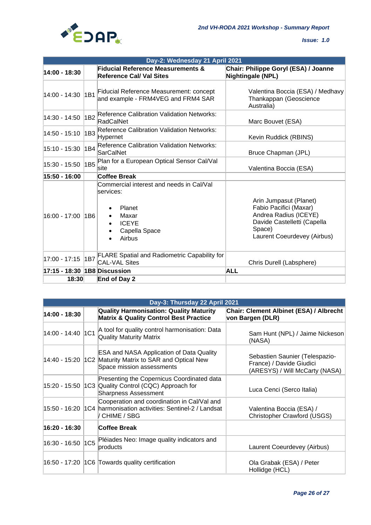

| Day-2: Wednesday 21 April 2021 |     |                                                                                                                     |                                                                                                                                                   |  |  |
|--------------------------------|-----|---------------------------------------------------------------------------------------------------------------------|---------------------------------------------------------------------------------------------------------------------------------------------------|--|--|
| 14:00 - 18:30                  |     | <b>Fiducial Reference Measurements &amp;</b><br><b>Reference Cal/ Val Sites</b>                                     | Chair: Philippe Goryl (ESA) / Joanne<br><b>Nightingale (NPL)</b>                                                                                  |  |  |
| 14:00 - 14:30                  | 1B1 | Fiducial Reference Measurement: concept<br>and example - FRM4VEG and FRM4 SAR                                       | Valentina Boccia (ESA) / Medhavy<br>Thankappan (Geoscience<br>Australia)                                                                          |  |  |
| 14:30 - 14:50                  | 1B2 | Reference Calibration Validation Networks:<br>RadCalNet                                                             | Marc Bouvet (ESA)                                                                                                                                 |  |  |
| 14:50 - 15:10                  | 1B3 | <b>Reference Calibration Validation Networks:</b><br>Hypernet                                                       | Kevin Ruddick (RBINS)                                                                                                                             |  |  |
| 15:10 - 15:30                  | 1B4 | <b>Reference Calibration Validation Networks:</b><br><b>SarCalNet</b>                                               | Bruce Chapman (JPL)                                                                                                                               |  |  |
| 15:30 - 15:50                  | 1B5 | Plan for a European Optical Sensor Cal/Val<br>lsite                                                                 | Valentina Boccia (ESA)                                                                                                                            |  |  |
| 15:50 - 16:00                  |     | <b>Coffee Break</b>                                                                                                 |                                                                                                                                                   |  |  |
| 16:00 - 17:00                  | 1B6 | Commercial interest and needs in Cal/Val<br>services:<br>Planet<br>Maxar<br><b>ICEYE</b><br>Capella Space<br>Airbus | Arin Jumpasut (Planet)<br>Fabio Pacifici (Maxar)<br>Andrea Radius (ICEYE)<br>Davide Castelletti (Capella<br>Space)<br>Laurent Coeurdevey (Airbus) |  |  |
| 17:00 - 17:15                  | 1B7 | <b>FLARE Spatial and Radiometric Capability for</b><br><b>CAL-VAL Sites</b>                                         | Chris Durell (Labsphere)                                                                                                                          |  |  |
| 17:15 - 18:30 1B8 Discussion   |     |                                                                                                                     | <b>ALL</b>                                                                                                                                        |  |  |
| 18:30                          |     | End of Day 2                                                                                                        |                                                                                                                                                   |  |  |

|                   | Day-3: Thursday 22 April 2021                                                                                              |                                                                                              |
|-------------------|----------------------------------------------------------------------------------------------------------------------------|----------------------------------------------------------------------------------------------|
| 14:00 - 18:30     | <b>Quality Harmonisation: Quality Maturity</b><br><b>Matrix &amp; Quality Control Best Practice</b>                        | Chair: Clement Albinet (ESA) / Albrecht<br>von Bargen (DLR)                                  |
| 14:00 - 14:40 1C1 | A tool for quality control harmonisation: Data<br><b>Quality Maturity Matrix</b>                                           | Sam Hunt (NPL) / Jaime Nickeson<br>(NASA)                                                    |
| 14:40 - 15:20     | <b>ESA and NASA Application of Data Quality</b><br>1C2 Maturity Matrix to SAR and Optical New<br>Space mission assessments | Sebastien Saunier (Telespazio-<br>France) / Davide Giudici<br>(ARESYS) / Will McCarty (NASA) |
| 15:20 - 15:50     | Presenting the Copernicus Coordinated data<br>1C3 Quality Control (CQC) Approach for<br><b>Sharpness Assessment</b>        | Luca Cenci (Serco Italia)                                                                    |
| 15:50 - 16:20     | Cooperation and coordination in Cal/Val and<br>1C4 harmonisation activities: Sentinel-2 / Landsat<br>CHIME / SBG           | Valentina Boccia (ESA) /<br>Christopher Crawford (USGS)                                      |
| 16:20 - 16:30     | Coffee Break                                                                                                               |                                                                                              |
|                   | 16:30 - 16:50 1C5 Pléiades Neo: Image quality indicators and<br>products                                                   | Laurent Coeurdevey (Airbus)                                                                  |
|                   | 16:50 - 17:20   1C6   Towards quality certification                                                                        | Ola Grabak (ESA) / Peter<br>Hollidge (HCL)                                                   |